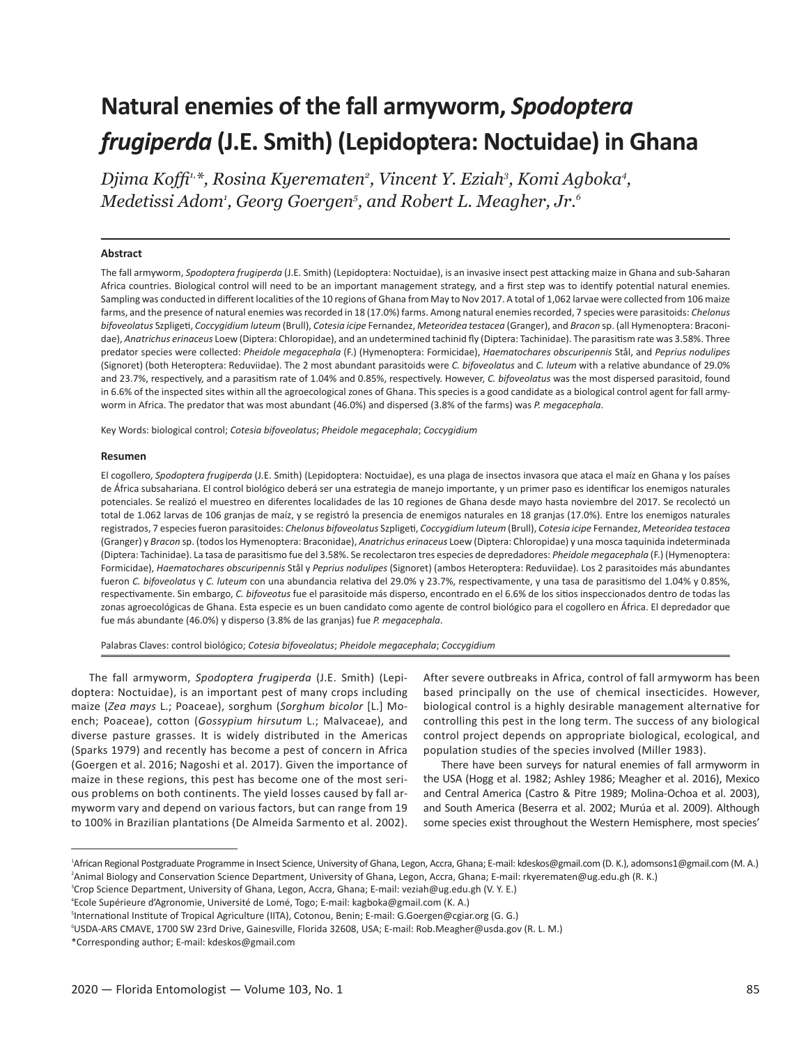# **Natural enemies of the fall armyworm,** *Spodoptera frugiperda* **(J.E. Smith) (Lepidoptera: Noctuidae) in Ghana**

*Djima Koffi1,\*, Rosina Kyerematen2 , Vincent Y. Eziah3 , Komi Agboka4 , Medetissi Adom1 , Georg Goergen5 , and Robert L. Meagher, Jr.6*

#### **Abstract**

The fall armyworm, *Spodoptera frugiperda* (J.E. Smith) (Lepidoptera: Noctuidae), is an invasive insect pest attacking maize in Ghana and sub-Saharan Africa countries. Biological control will need to be an important management strategy, and a first step was to identify potential natural enemies. Sampling was conducted in different localities of the 10 regions of Ghana from May to Nov 2017. A total of 1,062 larvae were collected from 106 maize farms, and the presence of natural enemies was recorded in 18 (17.0%) farms. Among natural enemies recorded, 7 species were parasitoids: *Chelonus bifoveolatus* Szpligeti, *Coccygidium luteum* (Brull), *Cotesia icipe* Fernandez, *Meteoridea testacea* (Granger), and *Bracon* sp. (all Hymenoptera: Braconidae), *Anatrichus erinaceus* Loew (Diptera: Chloropidae), and an undetermined tachinid fly (Diptera: Tachinidae). The parasitism rate was 3.58%. Three predator species were collected: *Pheidole megacephala* (F.) (Hymenoptera: Formicidae), *Haematochares obscuripennis* Stål, and *Peprius nodulipes* (Signoret) (both Heteroptera: Reduviidae). The 2 most abundant parasitoids were *C. bifoveolatus* and *C. luteum* with a relative abundance of 29.0% and 23.7%, respectively, and a parasitism rate of 1.04% and 0.85%, respectively. However, *C. bifoveolatus* was the most dispersed parasitoid, found in 6.6% of the inspected sites within all the agroecological zones of Ghana. This species is a good candidate as a biological control agent for fall armyworm in Africa. The predator that was most abundant (46.0%) and dispersed (3.8% of the farms) was *P. megacephala*.

Key Words: biological control; *Cotesia bifoveolatus*; *Pheidole megacephala*; *Coccygidium*

## **Resumen**

El cogollero, *Spodoptera frugiperda* (J.E. Smith) (Lepidoptera: Noctuidae), es una plaga de insectos invasora que ataca el maíz en Ghana y los países de África subsahariana. El control biológico deberá ser una estrategia de manejo importante, y un primer paso es identificar los enemigos naturales potenciales. Se realizó el muestreo en diferentes localidades de las 10 regiones de Ghana desde mayo hasta noviembre del 2017. Se recolectó un total de 1.062 larvas de 106 granjas de maíz, y se registró la presencia de enemigos naturales en 18 granjas (17.0%). Entre los enemigos naturales registrados, 7 especies fueron parasitoides: *Chelonus bifoveolatus* Szpligeti, *Coccygidium luteum* (Brull), *Cotesia icipe* Fernandez, *Meteoridea testacea* (Granger) y *Bracon* sp. (todos los Hymenoptera: Braconidae), *Anatrichus erinaceus* Loew (Diptera: Chloropidae) y una mosca taquinida indeterminada (Diptera: Tachinidae). La tasa de parasitismo fue del 3.58%. Se recolectaron tres especies de depredadores: *Pheidole megacephala* (F.) (Hymenoptera: Formicidae), *Haematochares obscuripennis* Stål y *Peprius nodulipes* (Signoret) (ambos Heteroptera: Reduviidae). Los 2 parasitoides más abundantes fueron *C. bifoveolatus* y *C. luteum* con una abundancia relativa del 29.0% y 23.7%, respectivamente, y una tasa de parasitismo del 1.04% y 0.85%, respectivamente. Sin embargo, *C. bifoveotus* fue el parasitoide más disperso, encontrado en el 6.6% de los sitios inspeccionados dentro de todas las zonas agroecológicas de Ghana. Esta especie es un buen candidato como agente de control biológico para el cogollero en África. El depredador que fue más abundante (46.0%) y disperso (3.8% de las granjas) fue *P. megacephala*.

Palabras Claves: control biológico; *Cotesia bifoveolatus*; *Pheidole megacephala*; *Coccygidium*

The fall armyworm, *Spodoptera frugiperda* (J.E. Smith) (Lepidoptera: Noctuidae), is an important pest of many crops including maize (*Zea mays* L.; Poaceae), sorghum (*Sorghum bicolor* [L.] Moench; Poaceae), cotton (*Gossypium hirsutum* L.; Malvaceae), and diverse pasture grasses. It is widely distributed in the Americas (Sparks 1979) and recently has become a pest of concern in Africa (Goergen et al. 2016; Nagoshi et al. 2017). Given the importance of maize in these regions, this pest has become one of the most serious problems on both continents. The yield losses caused by fall armyworm vary and depend on various factors, but can range from 19 to 100% in Brazilian plantations (De Almeida Sarmento et al. 2002). After severe outbreaks in Africa, control of fall armyworm has been based principally on the use of chemical insecticides. However, biological control is a highly desirable management alternative for controlling this pest in the long term. The success of any biological control project depends on appropriate biological, ecological, and population studies of the species involved (Miller 1983).

There have been surveys for natural enemies of fall armyworm in the USA (Hogg et al. 1982; Ashley 1986; Meagher et al. 2016), Mexico and Central America (Castro & Pitre 1989; Molina-Ochoa et al. 2003), and South America (Beserra et al. 2002; Murúa et al. 2009). Although some species exist throughout the Western Hemisphere, most species'

<sup>1</sup> African Regional Postgraduate Programme in Insect Science, University of Ghana, Legon, Accra, Ghana; E-mail: kdeskos@gmail.com (D. K.), adomsons1@gmail.com (M. A.) 2 Animal Biology and Conservation Science Department, University of Ghana, Legon, Accra, Ghana; E-mail: rkyerematen@ug.edu.gh (R. K.)

<sup>3</sup> Crop Science Department, University of Ghana, Legon, Accra, Ghana; E-mail: veziah@ug.edu.gh (V. Y. E.)

<sup>4</sup> Ecole Supérieure d'Agronomie, Université de Lomé, Togo; E-mail: kagboka@gmail.com (K. A.)

<sup>5</sup> International Institute of Tropical Agriculture (IITA), Cotonou, Benin; E-mail: G.Goergen@cgiar.org (G. G.)

<sup>6</sup> USDA-ARS CMAVE, 1700 SW 23rd Drive, Gainesville, Florida 32608, USA; E-mail: Rob.Meagher@usda.gov (R. L. M.)

<sup>\*</sup>Corresponding author; E-mail: kdeskos@gmail.com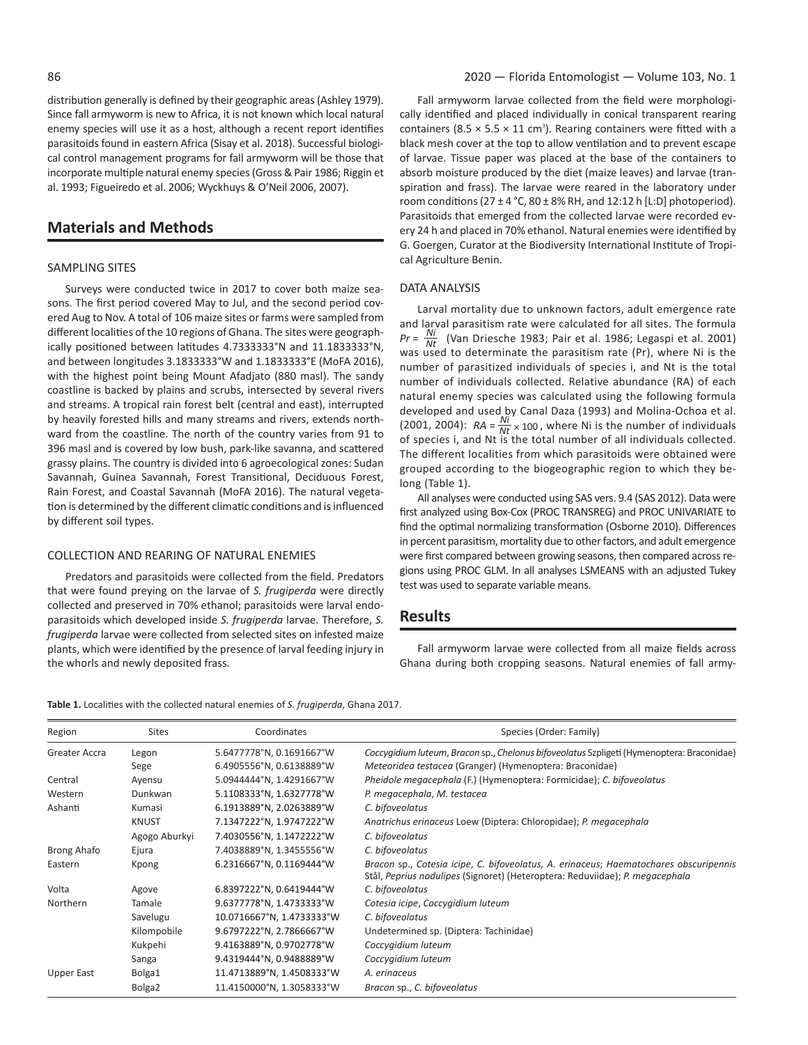distribution generally is defined by their geographic areas (Ashley 1979). Since fall armyworm is new to Africa, it is not known which local natural enemy species will use it as a host, although a recent report identifies parasitoids found in eastern Africa (Sisay et al. 2018). Successful biological control management programs for fall armyworm will be those that incorporate multiple natural enemy species (Gross & Pair 1986; Riggin et al. 1993; Figueiredo et al. 2006; Wyckhuys & O'Neil 2006, 2007).

# **Materials and Methods**

### SAMPLING SITES

Surveys were conducted twice in 2017 to cover both maize seasons. The first period covered May to Jul, and the second period covered Aug to Nov. A total of 106 maize sites or farms were sampled from different localities of the 10 regions of Ghana. The sites were geographically positioned between latitudes 4.7333333°N and 11.1833333°N, and between longitudes 3.1833333°W and 1.1833333°E (MoFA 2016), with the highest point being Mount Afadjato (880 masl). The sandy coastline is backed by plains and scrubs, intersected by several rivers and streams. A tropical rain forest belt (central and east), interrupted by heavily forested hills and many streams and rivers, extends northward from the coastline. The north of the country varies from 91 to 396 masl and is covered by low bush, park-like savanna, and scattered grassy plains. The country is divided into 6 agroecological zones: Sudan Savannah, Guinea Savannah, Forest Transitional, Deciduous Forest, Rain Forest, and Coastal Savannah (MoFA 2016). The natural vegetation is determined by the different climatic conditions and is influenced by different soil types.

#### COLLECTION AND REARING OF NATURAL ENEMIES

Predators and parasitoids were collected from the field. Predators that were found preying on the larvae of *S. frugiperda* were directly collected and preserved in 70% ethanol; parasitoids were larval endoparasitoids which developed inside *S. frugiperda* larvae. Therefore, *S. frugiperda* larvae were collected from selected sites on infested maize plants, which were identified by the presence of larval feeding injury in the whorls and newly deposited frass.

Fall armyworm larvae collected from the field were morphologically identified and placed individually in conical transparent rearing containers (8.5  $\times$  5.5  $\times$  11 cm<sup>3</sup>). Rearing containers were fitted with a black mesh cover at the top to allow ventilation and to prevent escape of larvae. Tissue paper was placed at the base of the containers to absorb moisture produced by the diet (maize leaves) and larvae (transpiration and frass). The larvae were reared in the laboratory under room conditions ( $27 \pm 4$  °C,  $80 \pm 8$ % RH, and 12:12 h [L:D] photoperiod). Parasitoids that emerged from the collected larvae were recorded every 24 h and placed in 70% ethanol. Natural enemies were identified by G. Goergen, Curator at the Biodiversity International Institute of Tropical Agriculture Benin.

## DATA ANALYSIS

Larval mortality due to unknown factors, adult emergence rate and larval parasitism rate were calculated for all sites. The formula *Pr*<sup>=</sup> *Ni Nt* (Van Driesche 1983; Pair et al. 1986; Legaspi et al. 2001) was used to determinate the parasitism rate (Pr), where Ni is the number of parasitized individuals of species i, and Nt is the total number of individuals collected. Relative abundance (RA) of each natural enemy species was calculated using the following formula developed and used by Canal Daza (1993) and Molina-Ochoa et al.<br>(2001, 2004): RA =  $\frac{Ni}{Nt} \times 100$ , where Ni is the number of individuals<br>of species i, and Nt is the total number of all individuals collected. The different localities from which parasitoids were obtained were grouped according to the biogeographic region to which they belong (Table 1).

All analyses were conducted using SAS vers. 9.4 (SAS 2012). Data were first analyzed using Box-Cox (PROC TRANSREG) and PROC UNIVARIATE to find the optimal normalizing transformation (Osborne 2010). Differences in percent parasitism, mortality due to other factors, and adult emergence were first compared between growing seasons, then compared across regions using PROC GLM. In all analyses LSMEANS with an adjusted Tukey test was used to separate variable means.

## **Results**

Fall armyworm larvae were collected from all maize fields across Ghana during both cropping seasons. Natural enemies of fall army-

| Table 1. Localities with the collected natural enemies of S. frugiperda, Ghana 2017. |  |
|--------------------------------------------------------------------------------------|--|
|--------------------------------------------------------------------------------------|--|

| Region        | <b>Sites</b>       | Coordinates               | Species (Order: Family)                                                                                                                                               |
|---------------|--------------------|---------------------------|-----------------------------------------------------------------------------------------------------------------------------------------------------------------------|
| Greater Accra | Legon              | 5.6477778°N, 0.1691667°W  | Coccygidium luteum, Bracon sp., Chelonus bifoveolatus Szpligeti (Hymenoptera: Braconidae)                                                                             |
|               | Sege               | 6.4905556°N, 0.6138889°W  | Meteoridea testacea (Granger) (Hymenoptera: Braconidae)                                                                                                               |
| Central       | Ayensu             | 5.0944444°N, 1.4291667°W  | Pheidole megacephala (F.) (Hymenoptera: Formicidae); C. bifoveolatus                                                                                                  |
| Western       | Dunkwan            | 5.1108333°N, 1.6327778°W  | P. megacephala, M. testacea                                                                                                                                           |
| Ashanti       | Kumasi             | 6.1913889°N, 2.0263889°W  | C. bifoveolatus                                                                                                                                                       |
|               | <b>KNUST</b>       | 7.1347222°N, 1.9747222°W  | Anatrichus erinaceus Loew (Diptera: Chloropidae); P. megacephala                                                                                                      |
|               | Agogo Aburkyi      | 7.4030556°N, 1.1472222°W  | C. bifoveolatus                                                                                                                                                       |
| Brong Ahafo   | Ejura              | 7.4038889°N, 1.3455556°W  | C. bifoveolatus                                                                                                                                                       |
| Eastern       | Kpong              | 6.2316667°N, 0.1169444°W  | Bracon sp., Cotesia icipe, C. bifoveolatus, A. erinaceus; Haematochares obscuripennis<br>Stål, Peprius nodulipes (Signoret) (Heteroptera: Reduviidae); P. megacephala |
| Volta         | Agove              | 6.8397222°N, 0.6419444°W  | C. bifoveolatus                                                                                                                                                       |
| Northern      | Tamale             | 9.6377778°N, 1.4733333°W  | Cotesia icipe, Coccygidium luteum                                                                                                                                     |
|               | Savelugu           | 10.0716667°N, 1.4733333°W | C. bifoveolatus                                                                                                                                                       |
|               | Kilompobile        | 9.6797222°N, 2.7866667°W  | Undetermined sp. (Diptera: Tachinidae)                                                                                                                                |
|               | Kukpehi            | 9.4163889°N, 0.9702778°W  | Coccygidium luteum                                                                                                                                                    |
|               | Sanga              | 9.4319444°N, 0.9488889°W  | Coccygidium luteum                                                                                                                                                    |
| Upper East    | Bolga1             | 11.4713889°N, 1.4508333°W | A. erinaceus                                                                                                                                                          |
|               | Bolga <sub>2</sub> | 11.4150000°N, 1.3058333°W | Bracon sp., C. bifoveolatus                                                                                                                                           |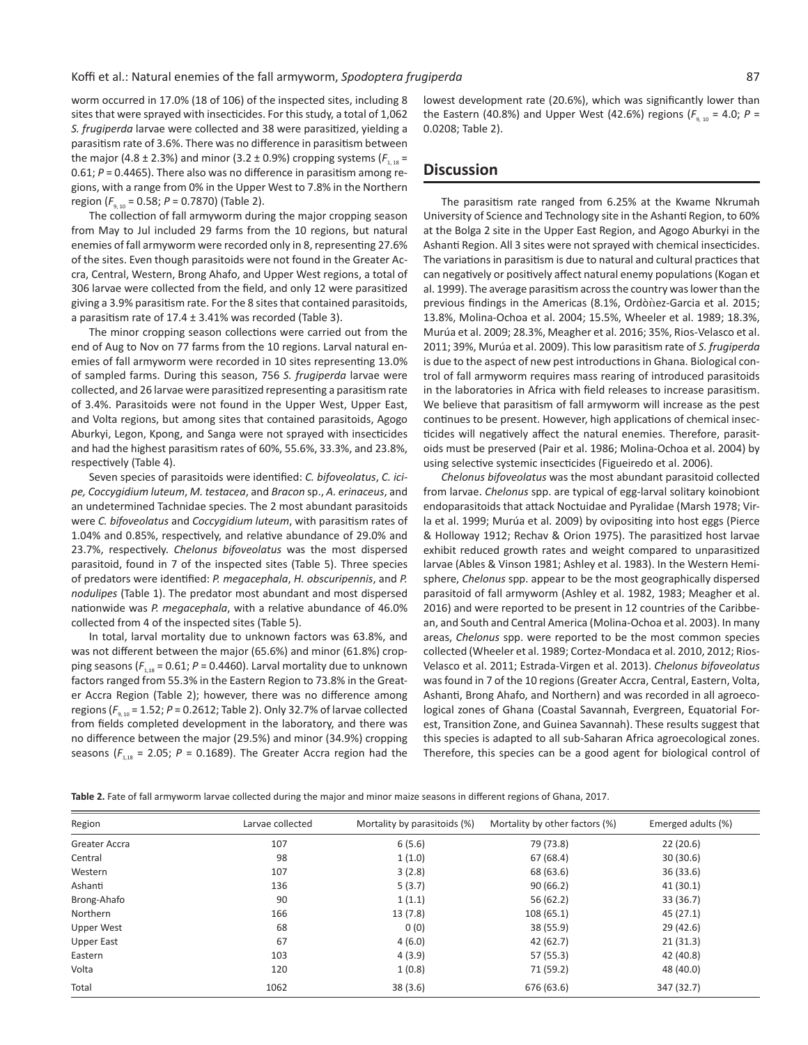worm occurred in 17.0% (18 of 106) of the inspected sites, including 8 sites that were sprayed with insecticides. For this study, a total of 1,062 *S. frugiperda* larvae were collected and 38 were parasitized, yielding a parasitism rate of 3.6%. There was no difference in parasitism between the major (4.8 ± 2.3%) and minor (3.2 ± 0.9%) cropping systems ( $F_{1,18}$  = 0.61; *P* = 0.4465). There also was no difference in parasitism among regions, with a range from 0% in the Upper West to 7.8% in the Northern region (*F*9, 10 = 0.58; *P* = 0.7870) (Table 2).

The collection of fall armyworm during the major cropping season from May to Jul included 29 farms from the 10 regions, but natural enemies of fall armyworm were recorded only in 8, representing 27.6% of the sites. Even though parasitoids were not found in the Greater Accra, Central, Western, Brong Ahafo, and Upper West regions, a total of 306 larvae were collected from the field, and only 12 were parasitized giving a 3.9% parasitism rate. For the 8 sites that contained parasitoids, a parasitism rate of  $17.4 \pm 3.41\%$  was recorded (Table 3).

The minor cropping season collections were carried out from the end of Aug to Nov on 77 farms from the 10 regions. Larval natural enemies of fall armyworm were recorded in 10 sites representing 13.0% of sampled farms. During this season, 756 *S. frugiperda* larvae were collected, and 26 larvae were parasitized representing a parasitism rate of 3.4%. Parasitoids were not found in the Upper West, Upper East, and Volta regions, but among sites that contained parasitoids, Agogo Aburkyi, Legon, Kpong, and Sanga were not sprayed with insecticides and had the highest parasitism rates of 60%, 55.6%, 33.3%, and 23.8%, respectively (Table 4).

Seven species of parasitoids were identified: *C. bifoveolatus*, *C. icipe, Coccygidium luteum*, *M. testacea*, and *Bracon* sp., *A. erinaceus*, and an undetermined Tachnidae species. The 2 most abundant parasitoids were *C. bifoveolatus* and *Coccygidium luteum*, with parasitism rates of 1.04% and 0.85%, respectively, and relative abundance of 29.0% and 23.7%, respectively. *Chelonus bifoveolatus* was the most dispersed parasitoid, found in 7 of the inspected sites (Table 5). Three species of predators were identified: *P. megacephala*, *H. obscuripennis*, and *P. nodulipes* (Table 1). The predator most abundant and most dispersed nationwide was *P. megacephala*, with a relative abundance of 46.0% collected from 4 of the inspected sites (Table 5).

In total, larval mortality due to unknown factors was 63.8%, and was not different between the major (65.6%) and minor (61.8%) cropping seasons ( $F_{1.18}$  = 0.61;  $P$  = 0.4460). Larval mortality due to unknown factors ranged from 55.3% in the Eastern Region to 73.8% in the Greater Accra Region (Table 2); however, there was no difference among regions  $(F_{9,10} = 1.52; P = 0.2612;$  Table 2). Only 32.7% of larvae collected from fields completed development in the laboratory, and there was no difference between the major (29.5%) and minor (34.9%) cropping seasons ( $F_{1,18}$  = 2.05;  $P = 0.1689$ ). The Greater Accra region had the lowest development rate (20.6%), which was significantly lower than the Eastern (40.8%) and Upper West (42.6%) regions ( $F_{9,10}$  = 4.0;  $P =$ 0.0208; Table 2).

## **Discussion**

The parasitism rate ranged from 6.25% at the Kwame Nkrumah University of Science and Technology site in the Ashanti Region, to 60% at the Bolga 2 site in the Upper East Region, and Agogo Aburkyi in the Ashanti Region. All 3 sites were not sprayed with chemical insecticides. The variations in parasitism is due to natural and cultural practices that can negatively or positively affect natural enemy populations (Kogan et al. 1999). The average parasitism across the country was lower than the previous findings in the Americas (8.1%, Ordònez-Garcia et al. 2015; 13.8%, Molina-Ochoa et al. 2004; 15.5%, Wheeler et al. 1989; 18.3%, Murúa et al. 2009; 28.3%, Meagher et al. 2016; 35%, Rios-Velasco et al. 2011; 39%, Murúa et al. 2009). This low parasitism rate of *S. frugiperda* is due to the aspect of new pest introductions in Ghana. Biological control of fall armyworm requires mass rearing of introduced parasitoids in the laboratories in Africa with field releases to increase parasitism. We believe that parasitism of fall armyworm will increase as the pest continues to be present. However, high applications of chemical insecticides will negatively affect the natural enemies. Therefore, parasitoids must be preserved (Pair et al. 1986; Molina-Ochoa et al. 2004) by using selective systemic insecticides (Figueiredo et al. 2006).

*Chelonus bifoveolatus* was the most abundant parasitoid collected from larvae. *Chelonus* spp. are typical of egg-larval solitary koinobiont endoparasitoids that attack Noctuidae and Pyralidae (Marsh 1978; Virla et al. 1999; Murúa et al. 2009) by ovipositing into host eggs (Pierce & Holloway 1912; Rechav & Orion 1975). The parasitized host larvae exhibit reduced growth rates and weight compared to unparasitized larvae (Ables & Vinson 1981; Ashley et al. 1983). In the Western Hemisphere, *Chelonus* spp. appear to be the most geographically dispersed parasitoid of fall armyworm (Ashley et al. 1982, 1983; Meagher et al. 2016) and were reported to be present in 12 countries of the Caribbean, and South and Central America (Molina-Ochoa et al. 2003). In many areas, *Chelonus* spp. were reported to be the most common species collected (Wheeler et al. 1989; Cortez-Mondaca et al. 2010, 2012; Rios-Velasco et al. 2011; Estrada-Virgen et al. 2013). *Chelonus bifoveolatus* was found in 7 of the 10 regions (Greater Accra, Central, Eastern, Volta, Ashanti, Brong Ahafo, and Northern) and was recorded in all agroecological zones of Ghana (Coastal Savannah, Evergreen, Equatorial Forest, Transition Zone, and Guinea Savannah). These results suggest that this species is adapted to all sub-Saharan Africa agroecological zones. Therefore, this species can be a good agent for biological control of

**Table 2.** Fate of fall armyworm larvae collected during the major and minor maize seasons in different regions of Ghana, 2017.

| Region            | Larvae collected | Mortality by parasitoids (%) | Mortality by other factors (%) | Emerged adults (%) |
|-------------------|------------------|------------------------------|--------------------------------|--------------------|
| Greater Accra     | 107              | 6(5.6)                       | 79 (73.8)                      | 22(20.6)           |
| Central           | 98               | 1(1.0)                       | 67(68.4)                       | 30(30.6)           |
| Western           | 107              | 3(2.8)                       | 68 (63.6)                      | 36(33.6)           |
| Ashanti           | 136              | 5(3.7)                       | 90(66.2)                       | 41(30.1)           |
| Brong-Ahafo       | 90               | 1(1.1)                       | 56 (62.2)                      | 33 (36.7)          |
| Northern          | 166              | 13(7.8)                      | 108(65.1)                      | 45(27.1)           |
| <b>Upper West</b> | 68               | 0(0)                         | 38 (55.9)                      | 29(42.6)           |
| Upper East        | 67               | 4(6.0)                       | 42(62.7)                       | 21(31.3)           |
| Eastern           | 103              | 4(3.9)                       | 57 (55.3)                      | 42 (40.8)          |
| Volta             | 120              | 1(0.8)                       | 71 (59.2)                      | 48 (40.0)          |
| Total             | 1062             | 38(3.6)                      | 676 (63.6)                     | 347 (32.7)         |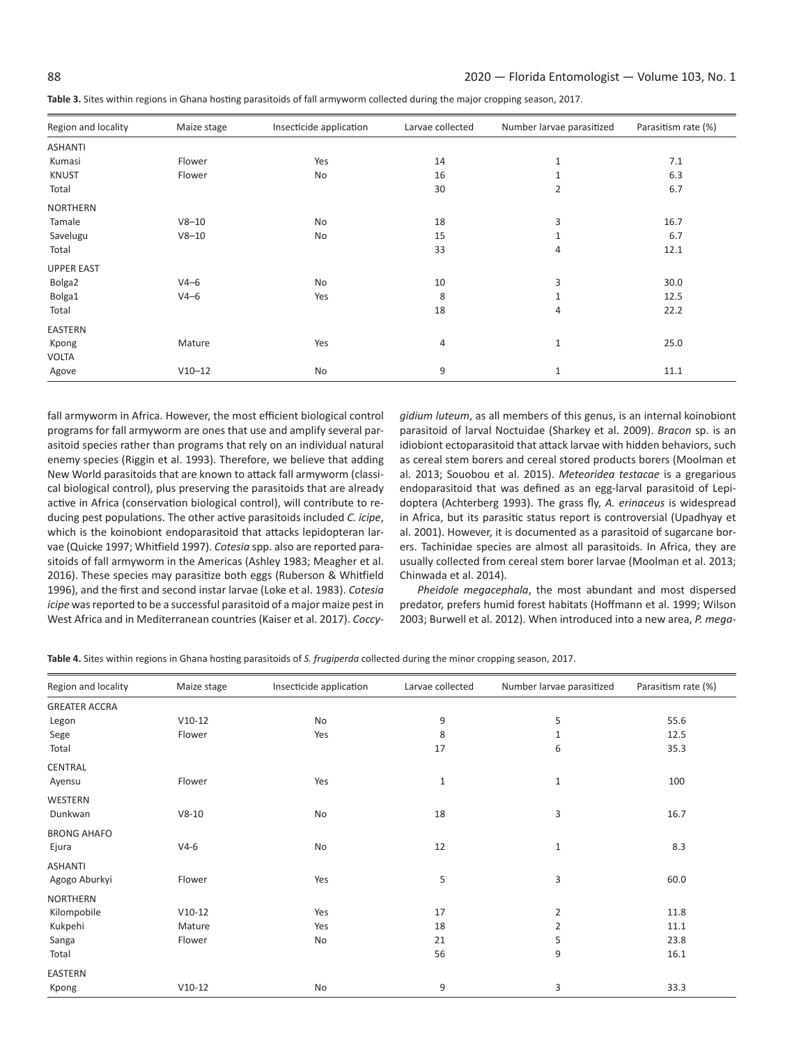| Region and locality | Maize stage | Insecticide application | Larvae collected | Number larvae parasitized | Parasitism rate (%) |
|---------------------|-------------|-------------------------|------------------|---------------------------|---------------------|
| <b>ASHANTI</b>      |             |                         |                  |                           |                     |
| Kumasi              | Flower      | Yes                     | 14               | $\mathbf{1}$              | 7.1                 |
| <b>KNUST</b>        | Flower      | <b>No</b>               | 16               | $\mathbf{1}$              | 6.3                 |
| Total               |             |                         | 30               | $\overline{2}$            | 6.7                 |
| <b>NORTHERN</b>     |             |                         |                  |                           |                     |
| Tamale              | $V8 - 10$   | No                      | 18               | 3                         | 16.7                |
| Savelugu            | $V8 - 10$   | <b>No</b>               | 15               | $\mathbf{1}$              | 6.7                 |
| Total               |             |                         | 33               | 4                         | 12.1                |
| <b>UPPER EAST</b>   |             |                         |                  |                           |                     |
| Bolga2              | $V4-6$      | No                      | 10               | 3                         | 30.0                |
| Bolga1              | $V4-6$      | Yes                     | 8                | $\mathbf{1}$              | 12.5                |
| Total               |             |                         | 18               | 4                         | 22.2                |
| EASTERN             |             |                         |                  |                           |                     |
| Kpong               | Mature      | Yes                     | 4                | $1\,$                     | 25.0                |
| <b>VOLTA</b>        |             |                         |                  |                           |                     |
| Agove               | $V10-12$    | No                      | 9                | 1                         | 11.1                |

fall armyworm in Africa. However, the most efficient biological control programs for fall armyworm are ones that use and amplify several parasitoid species rather than programs that rely on an individual natural enemy species (Riggin et al. 1993). Therefore, we believe that adding New World parasitoids that are known to attack fall armyworm (classical biological control), plus preserving the parasitoids that are already active in Africa (conservation biological control), will contribute to reducing pest populations. The other active parasitoids included *C. icipe*, which is the koinobiont endoparasitoid that attacks lepidopteran larvae (Quicke 1997; Whitfield 1997). *Cotesia* spp. also are reported parasitoids of fall armyworm in the Americas (Ashley 1983; Meagher et al. 2016). These species may parasitize both eggs (Ruberson & Whitfield 1996), and the first and second instar larvae (Loke et al. 1983). *Cotesia icipe* was reported to be a successful parasitoid of a major maize pest in West Africa and in Mediterranean countries (Kaiser et al. 2017). *Coccy-*

*gidium luteum*, as all members of this genus, is an internal koinobiont parasitoid of larval Noctuidae (Sharkey et al. 2009). *Bracon* sp. is an idiobiont ectoparasitoid that attack larvae with hidden behaviors, such as cereal stem borers and cereal stored products borers (Moolman et al. 2013; Souobou et al. 2015). *Meteoridea testacae* is a gregarious endoparasitoid that was defined as an egg-larval parasitoid of Lepidoptera (Achterberg 1993). The grass fly, *A. erinaceus* is widespread in Africa, but its parasitic status report is controversial (Upadhyay et al. 2001). However, it is documented as a parasitoid of sugarcane borers. Tachinidae species are almost all parasitoids. In Africa, they are usually collected from cereal stem borer larvae (Moolman et al. 2013; Chinwada et al. 2014).

*Pheidole megacephala*, the most abundant and most dispersed predator, prefers humid forest habitats (Hoffmann et al. 1999; Wilson 2003; Burwell et al. 2012). When introduced into a new area, *P. mega-*

**Table 4.** Sites within regions in Ghana hosting parasitoids of *S. frugiperda* collected during the minor cropping season, 2017.

| Region and locality  | Maize stage | Insecticide application | Larvae collected | Number larvae parasitized | Parasitism rate (%) |
|----------------------|-------------|-------------------------|------------------|---------------------------|---------------------|
| <b>GREATER ACCRA</b> |             |                         |                  |                           |                     |
| Legon                | $V10-12$    | No                      | 9                | 5                         | 55.6                |
| Sege                 | Flower      | Yes                     | 8                | 1                         | 12.5                |
| Total                |             |                         | 17               | 6                         | 35.3                |
| CENTRAL              |             |                         |                  |                           |                     |
| Ayensu               | Flower      | Yes                     | $\mathbf{1}$     | $\mathbf{1}$              | 100                 |
| WESTERN              |             |                         |                  |                           |                     |
| Dunkwan              | $V8-10$     | No                      | 18               | 3                         | 16.7                |
| <b>BRONG AHAFO</b>   |             |                         |                  |                           |                     |
| Ejura                | $V4-6$      | No                      | 12               | $\mathbf{1}$              | 8.3                 |
| <b>ASHANTI</b>       |             |                         |                  |                           |                     |
| Agogo Aburkyi        | Flower      | Yes                     | 5                | 3                         | 60.0                |
| <b>NORTHERN</b>      |             |                         |                  |                           |                     |
| Kilompobile          | $V10-12$    | Yes                     | 17               | 2                         | 11.8                |
| Kukpehi              | Mature      | Yes                     | 18               | 2                         | 11.1                |
| Sanga                | Flower      | No                      | 21               | 5                         | 23.8                |
| Total                |             |                         | 56               | 9                         | 16.1                |
| EASTERN              |             |                         |                  |                           |                     |
| Kpong                | $V10-12$    | No                      | 9                | 3                         | 33.3                |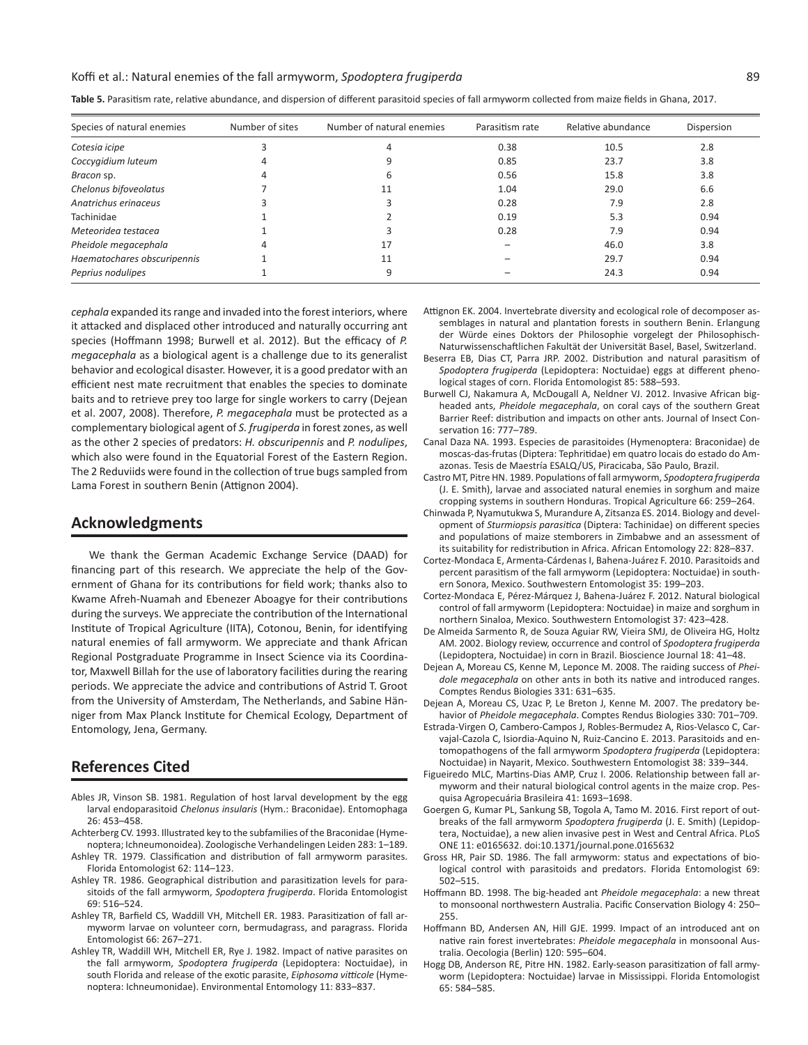#### Koffi et al.: Natural enemies of the fall armyworm, *Spodoptera frugiperda* 89

| Species of natural enemies  | Number of sites | Number of natural enemies | Parasitism rate | Relative abundance | Dispersion |
|-----------------------------|-----------------|---------------------------|-----------------|--------------------|------------|
| Cotesia icipe               |                 | 4                         | 0.38            | 10.5               | 2.8        |
| Coccygidium luteum          |                 |                           | 0.85            | 23.7               | 3.8        |
| Bracon sp.                  |                 | b                         | 0.56            | 15.8               | 3.8        |
| Chelonus bifoveolatus       |                 | 11                        | 1.04            | 29.0               | 6.6        |
| Anatrichus erinaceus        |                 |                           | 0.28            | 7.9                | 2.8        |
| Tachinidae                  |                 |                           | 0.19            | 5.3                | 0.94       |
| Meteoridea testacea         |                 |                           | 0.28            | 7.9                | 0.94       |
| Pheidole megacephala        |                 | 17                        |                 | 46.0               | 3.8        |
| Haematochares obscuripennis |                 | 11                        |                 | 29.7               | 0.94       |
| Peprius nodulipes           |                 |                           |                 | 24.3               | 0.94       |

**Table 5.** Parasitism rate, relative abundance, and dispersion of different parasitoid species of fall armyworm collected from maize fields in Ghana, 2017.

*cephala* expanded its range and invaded into the forest interiors, where it attacked and displaced other introduced and naturally occurring ant species (Hoffmann 1998; Burwell et al. 2012). But the efficacy of *P. megacephala* as a biological agent is a challenge due to its generalist behavior and ecological disaster. However, it is a good predator with an efficient nest mate recruitment that enables the species to dominate baits and to retrieve prey too large for single workers to carry (Dejean et al. 2007, 2008). Therefore, *P. megacephala* must be protected as a complementary biological agent of *S. frugiperda* in forest zones, as well as the other 2 species of predators: *H. obscuripennis* and *P. nodulipes*, which also were found in the Equatorial Forest of the Eastern Region. The 2 Reduviids were found in the collection of true bugs sampled from Lama Forest in southern Benin (Attignon 2004).

## **Acknowledgments**

We thank the German Academic Exchange Service (DAAD) for financing part of this research. We appreciate the help of the Government of Ghana for its contributions for field work; thanks also to Kwame Afreh-Nuamah and Ebenezer Aboagye for their contributions during the surveys. We appreciate the contribution of the International Institute of Tropical Agriculture (IITA), Cotonou, Benin, for identifying natural enemies of fall armyworm. We appreciate and thank African Regional Postgraduate Programme in Insect Science via its Coordinator, Maxwell Billah for the use of laboratory facilities during the rearing periods. We appreciate the advice and contributions of Astrid T. Groot from the University of Amsterdam, The Netherlands, and Sabine Hänniger from Max Planck Institute for Chemical Ecology, Department of Entomology, Jena, Germany.

## **References Cited**

- Ables JR, Vinson SB. 1981. Regulation of host larval development by the egg larval endoparasitoid *Chelonus insularis* (Hym.: Braconidae). Entomophaga 26: 453–458.
- Achterberg CV. 1993. Illustrated key to the subfamilies of the Braconidae (Hymenoptera; Ichneumonoidea). Zoologische Verhandelingen Leiden 283: 1–189.
- Ashley TR. 1979. Classification and distribution of fall armyworm parasites. Florida Entomologist 62: 114–123.
- Ashley TR. 1986. Geographical distribution and parasitization levels for parasitoids of the fall armyworm, *Spodoptera frugiperda*. Florida Entomologist 69: 516–524.
- Ashley TR, Barfield CS, Waddill VH, Mitchell ER. 1983. Parasitization of fall armyworm larvae on volunteer corn, bermudagrass, and paragrass. Florida Entomologist 66: 267–271.
- Ashley TR, Waddill WH, Mitchell ER, Rye J. 1982. Impact of native parasites on the fall armyworm, *Spodoptera frugiperda* (Lepidoptera: Noctuidae), in south Florida and release of the exotic parasite, *Eiphosoma vitticole* (Hymenoptera: Ichneumonidae). Environmental Entomology 11: 833–837.
- Attignon EK. 2004. Invertebrate diversity and ecological role of decomposer assemblages in natural and plantation forests in southern Benin. Erlangung der Würde eines Doktors der Philosophie vorgelegt der Philosophisch-Naturwissenschaftlichen Fakultät der Universität Basel, Basel, Switzerland.
- Beserra EB, Dias CT, Parra JRP. 2002. Distribution and natural parasitism of *Spodoptera frugiperda* (Lepidoptera: Noctuidae) eggs at different phenological stages of corn. Florida Entomologist 85: 588–593.
- Burwell CJ, Nakamura A, McDougall A, Neldner VJ. 2012. Invasive African bigheaded ants, *Pheidole megacephala*, on coral cays of the southern Great Barrier Reef: distribution and impacts on other ants. Journal of Insect Conservation 16: 777–789.
- Canal Daza NA. 1993. Especies de parasitoides (Hymenoptera: Braconidae) de moscas-das-frutas (Diptera: Tephritidae) em quatro locais do estado do Amazonas. Tesis de Maestría ESALQ/US, Piracicaba, São Paulo, Brazil.
- Castro MT, Pitre HN. 1989. Populations of fall armyworm, *Spodoptera frugiperda* (J. E. Smith), larvae and associated natural enemies in sorghum and maize cropping systems in southern Honduras. Tropical Agriculture 66: 259–264.
- Chinwada P, Nyamutukwa S, Murandure A, Zitsanza ES. 2014. Biology and development of *Sturmiopsis parasitica* (Diptera: Tachinidae) on different species and populations of maize stemborers in Zimbabwe and an assessment of its suitability for redistribution in Africa. African Entomology 22: 828–837.
- Cortez-Mondaca E, Armenta-Cárdenas I, Bahena-Juárez F. 2010. Parasitoids and percent parasitism of the fall armyworm (Lepidoptera: Noctuidae) in southern Sonora, Mexico. Southwestern Entomologist 35: 199–203.
- Cortez-Mondaca E, Pérez-Márquez J, Bahena-Juárez F. 2012. Natural biological control of fall armyworm (Lepidoptera: Noctuidae) in maize and sorghum in northern Sinaloa, Mexico. Southwestern Entomologist 37: 423–428.
- De Almeida Sarmento R, de Souza Aguiar RW, Vieira SMJ, de Oliveira HG, Holtz AM. 2002. Biology review, occurrence and control of *Spodoptera frugiperda* (Lepidoptera, Noctuidae) in corn in Brazil. Bioscience Journal 18: 41–48.
- Dejean A, Moreau CS, Kenne M, Leponce M. 2008. The raiding success of *Pheidole megacephala* on other ants in both its native and introduced ranges. Comptes Rendus Biologies 331: 631–635.
- Dejean A, Moreau CS, Uzac P, Le Breton J, Kenne M. 2007. The predatory behavior of *Pheidole megacephala*. Comptes Rendus Biologies 330: 701–709.
- Estrada-Virgen O, Cambero-Campos J, Robles-Bermudez A, Rios-Velasco C, Carvajal-Cazola C, Isiordia-Aquino N, Ruiz-Cancino E. 2013. Parasitoids and entomopathogens of the fall armyworm *Spodoptera frugiperda* (Lepidoptera: Noctuidae) in Nayarit, Mexico. Southwestern Entomologist 38: 339–344.
- Figueiredo MLC, Martins-Dias AMP, Cruz I. 2006. Relationship between fall armyworm and their natural biological control agents in the maize crop. Pesquisa Agropecuária Brasileira 41: 1693–1698.
- Goergen G, Kumar PL, Sankung SB, Togola A, Tamo M. 2016. First report of outbreaks of the fall armyworm *Spodoptera frugiperda* (J. E. Smith) (Lepidoptera, Noctuidae), a new alien invasive pest in West and Central Africa. PLoS ONE 11: e0165632. doi:10.1371/journal.pone.0165632
- Gross HR, Pair SD. 1986. The fall armyworm: status and expectations of biological control with parasitoids and predators. Florida Entomologist 69: 502–515.
- Hoffmann BD. 1998. The big-headed ant *Pheidole megacephala*: a new threat to monsoonal northwestern Australia. Pacific Conservation Biology 4: 250– 255.
- Hoffmann BD, Andersen AN, Hill GJE. 1999. Impact of an introduced ant on native rain forest invertebrates: *Pheidole megacephala* in monsoonal Australia. Oecologia (Berlin) 120: 595–604.
- Hogg DB, Anderson RE, Pitre HN. 1982. Early-season parasitization of fall armyworm (Lepidoptera: Noctuidae) larvae in Mississippi. Florida Entomologist 65: 584–585.